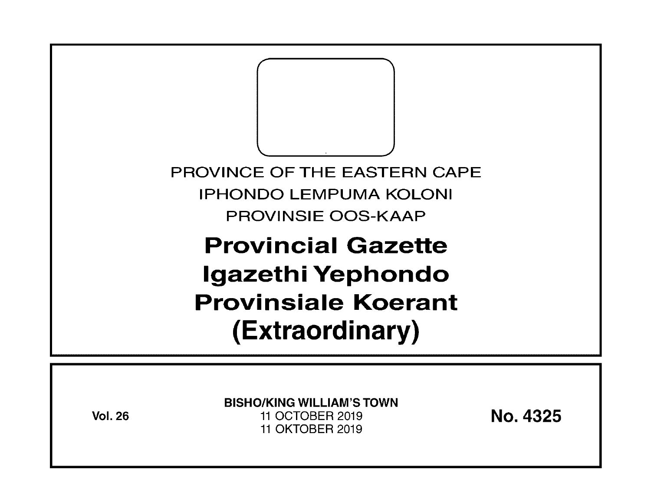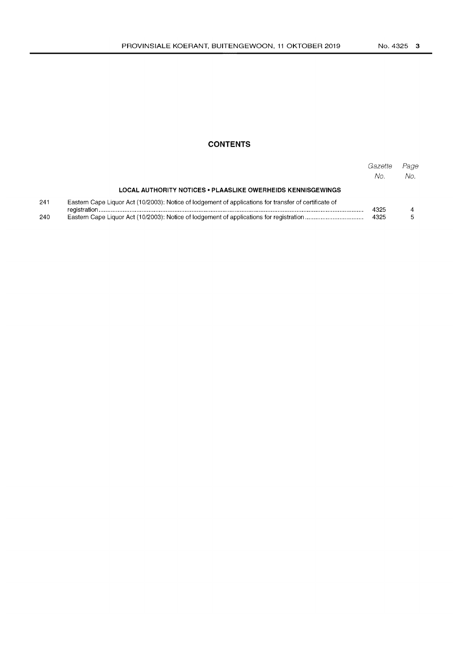## **CONTENTS**

|     |                                                                                                       | Gazette<br>No. | Page<br>No. |  |  |
|-----|-------------------------------------------------------------------------------------------------------|----------------|-------------|--|--|
|     | <b>LOCAL AUTHORITY NOTICES • PLAASLIKE OWERHEIDS KENNISGEWINGS</b>                                    |                |             |  |  |
| 241 | Eastern Cape Liquor Act (10/2003): Notice of lodgement of applications for transfer of certificate of |                |             |  |  |
| 240 |                                                                                                       |                |             |  |  |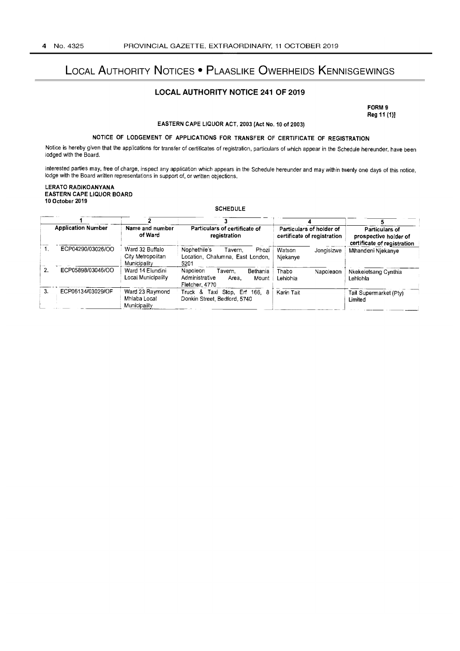# LOCAL AUTHORITY NOTICES • PLAASLIKE OWERHEIDS KENNISGEWINGS

#### LOCAL AUTHORITY NOTICE 241 OF 2019

FORM 9 Reg 11 (1)]

EASTERN CAPE LIQUOR ACT, 2003 (Act No. 10 of 2003)

### NOTICE OF LODGEMENT OF APPLICATIONS FOR TRANSFER OF CERTIFICATE OF REGISTRATION

Notice is hereby given that the applications for transfer of certificates of registration, particulars of which appear in the Schedule hereunder, have been lodged with the Board.

Interested parties may, free of charge, inspect any application which appears in the Schedule hereunder and may within twenty one days of this notice, lodge with the Board written representations in support of, or written objections.

LERATO RADIKOANYANA EASTERN CAPE LIQUOR BOARD 10 October 2019

**SCHEDULE** 

|                  | <b>Application Number</b> | Name and number<br>of Ward                           | Particulars of certificate of<br>registration                                         | Particulars of holder of<br>certificate of registration | Particulars of<br>prospective holder of<br>certificate of registration |
|------------------|---------------------------|------------------------------------------------------|---------------------------------------------------------------------------------------|---------------------------------------------------------|------------------------------------------------------------------------|
|                  | ECP04290/03026/OO         | Ward 32 Buffalo<br>City Metropolitan<br>Municipality | Nophethile's<br>Phozi<br>Tavern.<br>Location, Chalumna, East London,<br>5201          | Watson<br>Jongisizwe<br>Niekanye                        | Mthandeni Niekanye                                                     |
| $\overline{2}$ . | ECP05898/03046/OO         | Ward 14 Elundini<br>Local Municipality               | Napoleon<br>Bethania<br>Tavern.<br>Administrative<br>Area.<br>Mount<br>Fletcher, 4770 | Thabo<br>Napoleaon<br>Lehiohla                          | Nkekeletsang Cynthia<br>Lehlohla                                       |
| З.               | ECP06134/03029/OF         | Ward 23 Raymond<br>Mhlaba Local<br>Municipality      | Taxi Stop, Erf 166, 8<br>Truck &<br>Donkin Street, Bedford, 5740                      | Karin Tait                                              | Tait Supermarket (Pty)<br>Limited                                      |